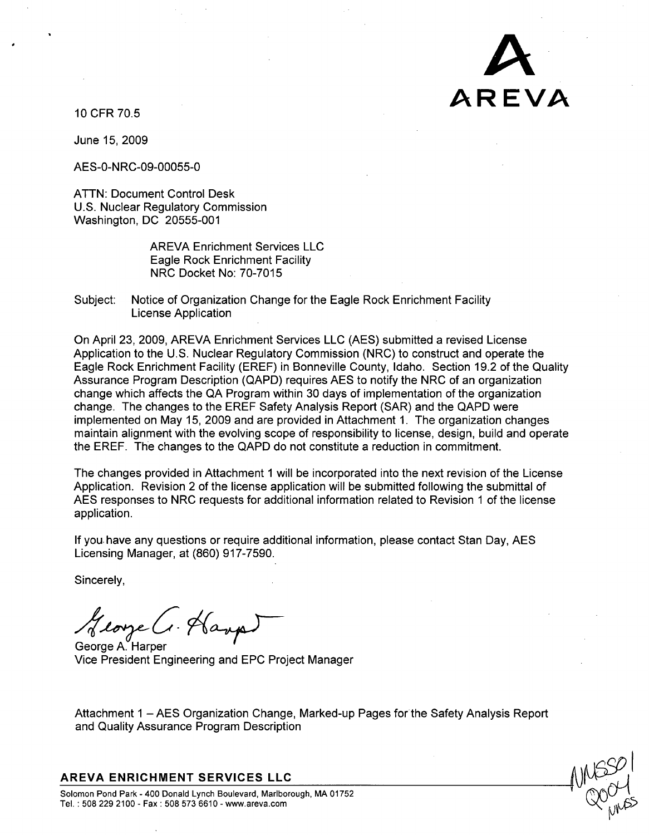

10 CFR 70.5

June 15, 2009

AES-0-NRC-09-00055-0

ATTN: Document Control Desk U.S. Nuclear Regulatory Commission Washington, DC 20555-001

> AREVA Enrichment Services LLC Eagle Rock Enrichment Facility NRC Docket No: 70-7015

Subject: Notice of Organization Change for the Eagle Rock Enrichment Facility License Application

On April 23, 2009, AREVA Enrichment Services LLC (AES) submitted a revised License Application to the U.S. Nuclear Regulatory Commission (NRC) to construct and operate the Eagle Rock Enrichment Facility (EREF) in Bonneville County, Idaho. Section 19.2 of the Quality Assurance Program Description (QAPD) requires AES to notify the NRC of an organization change which affects the QA Program within 30 days of implementation of the organization change. The changes to the EREF Safety Analysis Report (SAR) and the QAPD were implemented on May 15, 2009 and are provided in Attachment 1. The organization changes maintain alignment with the evolving scope of responsibility to license, design, build and operate the EREF. The changes to the QAPD do not constitute a reduction in commitment.

The changes provided in Attachment 1 will be incorporated into the next revision of the License Application. Revision 2 of the license application will be submitted following the submittal of AES responses to NRC requests for additional information related to Revision 1 of the license application.

If you, have any questions or require additional information, please contact Stan Day, AES Licensing Manager, at (860) 917-7590.

Sincerely,

George C. Hanpi

Vice President Engineering and EPC Project Manager

Attachment 1 - AES Organization Change, Marked-up Pages for the Safety Analysis Report and Quality Assurance Program Description

## AREVA **ENRICHMENT SERVICES LLC**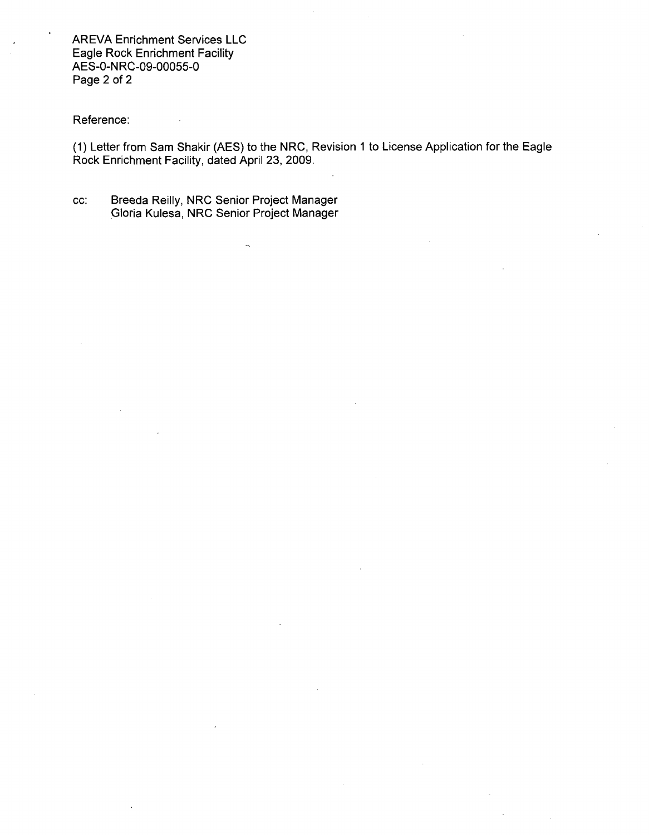AREVA Enrichment Services LLC Eagle Rock Enrichment Facility AES-0-NRC-09-00055-0 Page 2 of 2

Reference:

(1) Letter from Sam Shakir (AES) to the NRC, Revision 1 to License Application for the Eagle Rock Enrichment Facility, dated April 23, 2009.

cc: Breeda Reilly, NRC Senior Project Manager Gloria Kulesa, NRC Senior Project Manager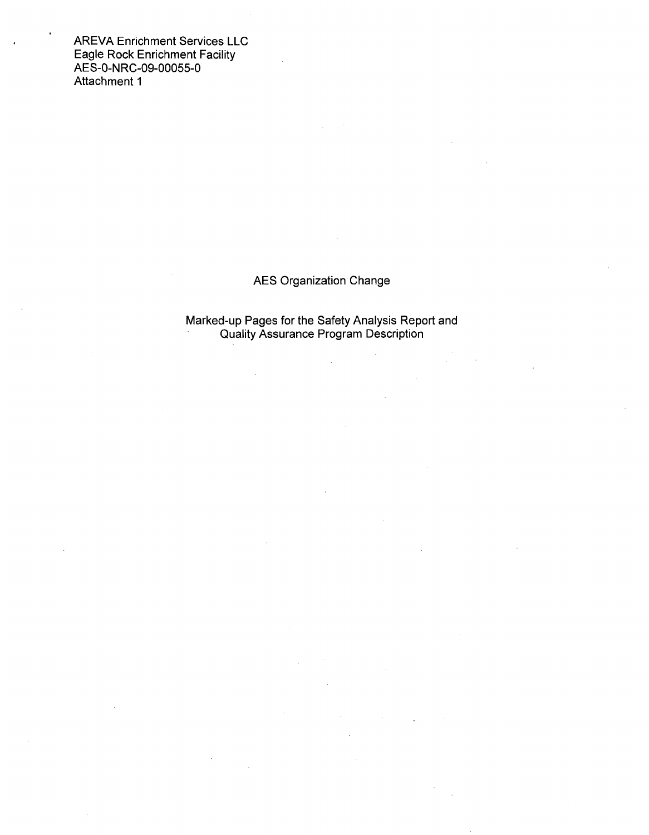AREVA Enrichment Services LLC Eagle Rock Enrichment Facility AES-0-NRC-09-00055-0 Attachment 1

# AES Organization Change

Marked-up Pages for the Safety Analysis Report and Quality Assurance Program Description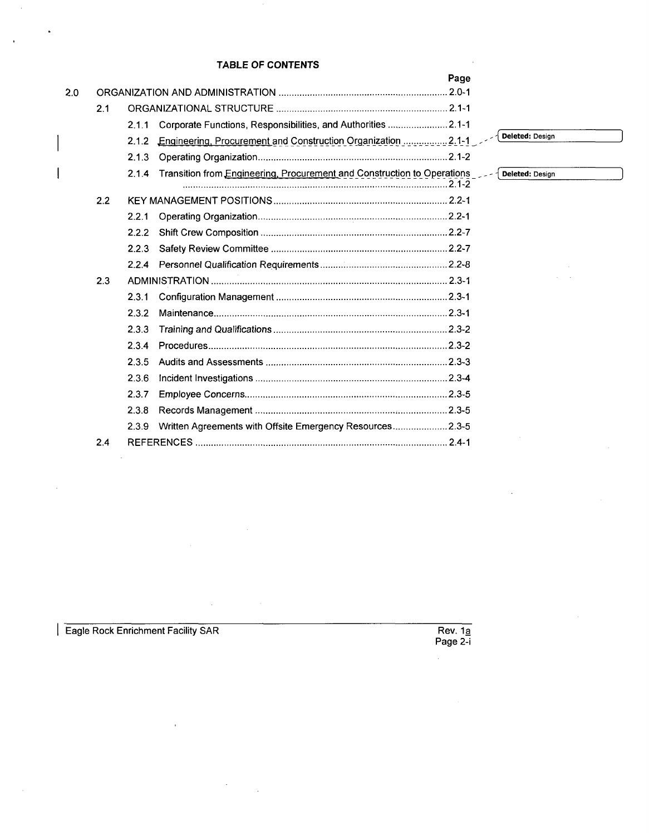## TABLE OF **CONTENTS**

|     |       |                                                                         | Page |                 |
|-----|-------|-------------------------------------------------------------------------|------|-----------------|
| 2.0 |       |                                                                         |      |                 |
| 2.1 |       |                                                                         |      |                 |
|     | 2.1.1 | Corporate Functions, Responsibilities, and Authorities 2.1-1            |      |                 |
|     | 2.1.2 | Engineering, Procurement and Construction Organization  2.1-1           |      | Deleted: Design |
|     | 2.1.3 |                                                                         |      |                 |
|     | 2.1.4 | Transition from Engineering, Procurement and Construction to Operations |      | Deleted; Design |
| 2.2 |       |                                                                         |      |                 |
|     | 2.2.1 |                                                                         |      |                 |
|     | 2.2.2 |                                                                         |      |                 |
|     | 2.2.3 |                                                                         |      |                 |
|     | 2.2.4 |                                                                         |      |                 |
| 2.3 |       |                                                                         |      |                 |
|     | 2.3.1 |                                                                         |      |                 |
|     | 2.3.2 |                                                                         |      |                 |
|     | 2.3.3 |                                                                         |      |                 |
|     | 2.3.4 |                                                                         |      |                 |
|     | 2.3.5 |                                                                         |      |                 |
|     | 2.3.6 |                                                                         |      |                 |
|     | 2.3.7 |                                                                         |      |                 |
|     | 2.3.8 |                                                                         |      |                 |
|     | 2.3.9 | Written Agreements with Offsite Emergency Resources 2.3-5               |      |                 |
| 2.4 |       |                                                                         |      |                 |

**I Eagle Rock Enrichment Facility SAR** 

 $\hat{\boldsymbol{\beta}}$ 

 $\ddot{\phantom{a}}$ 

 $\ddot{\phantom{0}}$ 

 $\ddot{\phantom{0}}$ 

 $\overline{Rev. 1a}$ <br>Page 2-i

 $\hat{\mathcal{A}}$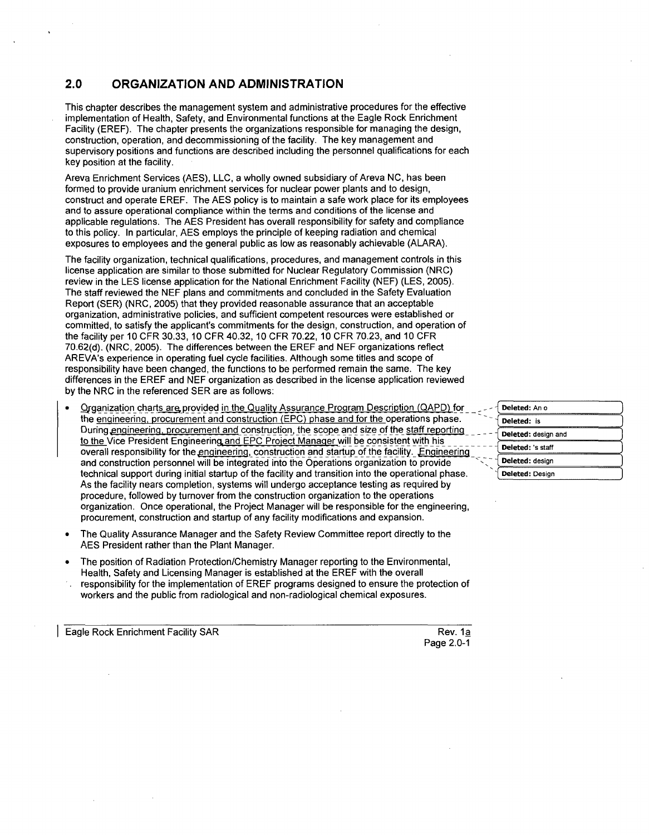## 2.0 **ORGANIZATION AND ADMINISTRATION**

This chapter describes the management system and administrative procedures for the effective implementation of Health, Safety, and Environmental functions at the Eagle Rock Enrichment Facility (EREF). The chapter presents the organizations responsible for managing the design, construction, operation, and decommissioning of the facility. The key management and supervisory positions and functions are described including the personnel qualifications for each key position at the facility.

Areva Enrichment Services (AES), LLC, a wholly owned subsidiary of Areva NC, has been formed to provide uranium enrichment services for nuclear power plants and to design, construct and operate EREF. The AES policy is to maintain a safe work place for its employees and to assure operational compliance within the terms and conditions of the license and applicable regulations. The AES President has overall responsibility for safety and compliance to this policy. In particular, AES employs the principle of keeping radiation and chemical exposures to employees and the general public as low as reasonably achievable (ALARA).

The facility organization, technical qualifications, procedures, and management controls in this license application are similar to those submitted for Nuclear Regulatory Commission (NRC) review in the LES license application for the National Enrichment Facility (NEF) (LES, 2005). The staff reviewed the NEF plans and commitments and concluded in the Safety Evaluation Report (SER) (NRC, 2005) that they provided reasonable assurance that an acceptable organization, administrative policies, and sufficient competent resources were established or committed, to satisfy the applicant's commitments for the design, construction, and operation of the facility per 10 CFR 30.33, 10 CFR 40.32, 10 CFR 70.22, 10 CFR 70.23, and 10 CFR 70.62(d). (NRC, 2005). The differences between the EREF and NEF organizations reflect AREVA's experience in operating fuel cycle facilities. Although some titles and scope of responsibility have been changed, the functions to be performed remain the same. The key differences in the EREF and NEF organization as described in the license application reviewed by the NRC in the referenced SER are as follows:

- **Organization charts are provided in the Quality Assurance Program Description (QAPD) for** the engineering, procurement and construction (EPC) phase and for the operations phase. During engineering, procurement and construction, the scope and size of the staff reporting to the Vice President Engineering and EPC Project Manager will be consistent with his overall responsibility for the engineering, construction and startup of the facility. Engineering and construction personnel will be integrated into the Operations organization to provide technical support during initial startup of the facility and transition into the operational phase. As the facility nears completion, systems will undergo acceptance testing as required by procedure, followed by turnover from the construction organization to the operations organization. Once operational, the Project Manager will be responsible for the engineering, procurement, construction and startup of any facility modifications and expansion.
- \* The Quality Assurance Manager and the Safety Review Committee report directly to the AES President rather than the Plant Manager.
- \* The position of Radiation Protection/Chemistry Manager reporting to the Environmental, Health, Safety and Licensing Manager is established at the EREF with the overall
- responsibility for the implementation of EREF programs designed to ensure the protection of workers and the public from radiological and non-radiological chemical exposures.

Eagle Rock Enrichment Facility SAR Rev. 1a

| Deleted: An o       |
|---------------------|
| Deleted: is         |
| Deleted: design and |
| Deleted: 's staff   |
| Deleted: design     |
| Deleted: Design     |

Page 2.0-1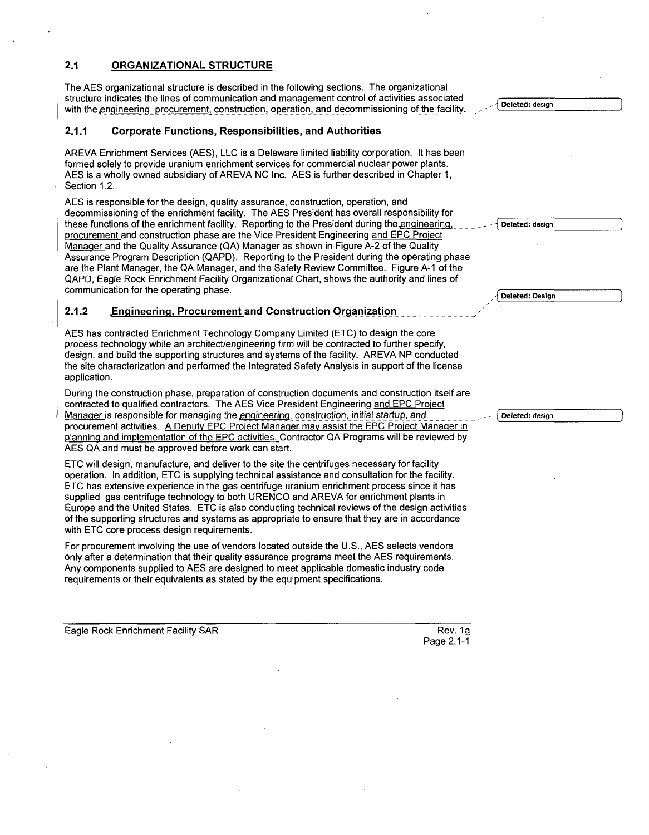## 2.1 **ORGANIZATIONAL STRUCTURE**

The AES organizational structure is described in the following sections. The organizational structure indicates the lines of communication and management control of activities associated with the engineering, procurement, construction, operation, and decommissioning of the facility.

### 2.1.1 Corporate Functions, Responsibilities, and Authorities

AREVA Enrichment Services (AES), LLC is a Delaware limited liability corporation. It has been formed solely to provide uranium enrichment services for commercial nuclear power plants. AES is a wholly owned subsidiary of AREVA NC Inc. AES is further described in Chapter 1, Section 1.2.

AES is responsible for the design, quality assurance, construction, operation, and decommissioning of the enrichment facility. The AES President has overall responsibility for these functions of the enrichment facility. Reporting to the President during the engineering. procurement and construction phase are the Vice President Engineering and EPC Proiect Manager and the Quality Assurance (QA) Manager as shown in Figure A-2 of the Quality Assurance Program Description (QAPD). Reporting to the President during the operating phase are the Plant Manager, the QA Manager, and the Safety Review Committee. Figure **A-1** of the QAPD, Eagle Rock Enrichment Facility Organizational Chart, shows the authority and lines of communication for the operating phase.

## 2.1.2 **Engineering,** Procurement and Construction **Organization**

AES has contracted Enrichment Technology Company Limited (ETC) to design the core process technology while an architect/engineering firm will be contracted to further specify, design, and build the supporting structures and systems of the facility. AREVA NP conducted the site characterization and performed the Integrated Safety Analysis in support of the license application.

During the construction phase, preparation of construction documents and construction itself are contracted to qualified contractors. The AES Vice President Engineering and EPC Project Manager is responsible for managing the engineering, construction, initial startup, and procurement activities. A Deputy EPC Proiect Manager may assist the EPC Proiect Manaqer in Planning and implementation of the EPC activities. Contractor QA Programs will be reviewed by AES QA and must be approved before work can start.

ETC will design, manufacture, and deliver to the site the centrifuges necessary for facility operation. In addition, ETC is supplying technical assistance and consultation for the facility. ETC has extensive experience in the gas centrifuge uranium enrichment process since it has supplied gas centrifuge technology to both URENCO and AREVA for enrichment plants in Europe and the United States. ETC is also conducting technical reviews of the design activities of the supporting structures and systems as appropriate to ensure that they are in accordance with ETC core process design requirements.

For procurement involving the use of vendors located outside the U.S., AES selects vendors only after a determination that their quality assurance programs meet the AES requirements. Any components supplied to AES are designed to meet applicable domestic industry code requirements or their equivalents as stated by the equipment specifications.

**I Eagle Rock Enrichment Facility SAR Rev. 18** 

Deleted: design

Deleted: Design

Deleted: design

Page 2.1-1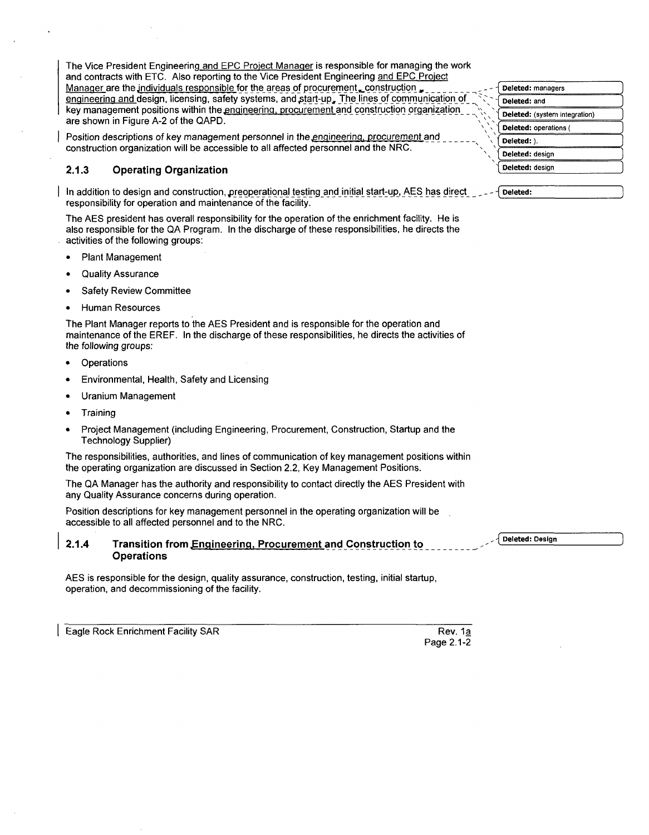The Vice President Engineering and EPC Project Manager is responsible for managing the work and contracts with ETC. Also reporting to the Vice President Engineering and EPC Project Manager are the individuals responsible for the areas of procurement, construction ... \_engneerinq and design, licensing, safety systems, andltart-up, The lines of communication of  key management positions within the engineering, procurement and construction organization are shown in Figure A-2 of the QAPD.

Position descriptions of key management personnel in the engineering, procurement and construction organization will be accessible to all affected personnel and the NRC.

## **2.1.3 Operating Organization**

In addition to design and construction, preoperational testing and initial start-up, AES has direct problement responsibility for operation and maintenance of the facility.

The AES president has overall responsibility for the operation of the enrichment facility. He is also responsible for the QA Program. In the discharge of these responsibilities, he directs the activities of the following groups:

- **"** Plant Management
- Quality Assurance
- **Safety Review Committee**
- Human Resources

The Plant Manager reports to the AES President and is responsible for the operation and maintenance of the EREF. In the discharge of these responsibilities, he directs the activities of the following groups:

- **Operations**
- Environmental, Health, Safety and Licensing
- Uranium Management
- **"** Training
- Project Management (including Engineering, Procurement, Construction, Startup and the Technology Supplier)

The responsibilities, authorities, and lines of communication of key management positions within the operating organization are discussed in Section 2.2, Key Management Positions.

The QA Manager has the authority and responsibility to contact directly the AES President with any Quality Assurance concerns during operation.

Position descriptions for key management personnel in the operating organization will be accessible to all affected personnel and to the NRC.

## 2.1.4 Transition from Engineering, Procurement and Construction to **The Construction of the Construction Operations**

AES is responsible for the design, quality assurance, construction, testing, initial startup, operation, and decommissioning of the facility.

Eagle Rock Enrichment Facility SAR Rev. 1a

| Deleted: managers             |  |
|-------------------------------|--|
| Deleted: and                  |  |
| Deleted: (system integration) |  |
| Deleted: operations (         |  |
| Deleted: ).                   |  |
| Deleted: design               |  |
| Deleted: design               |  |

Page 2.1-2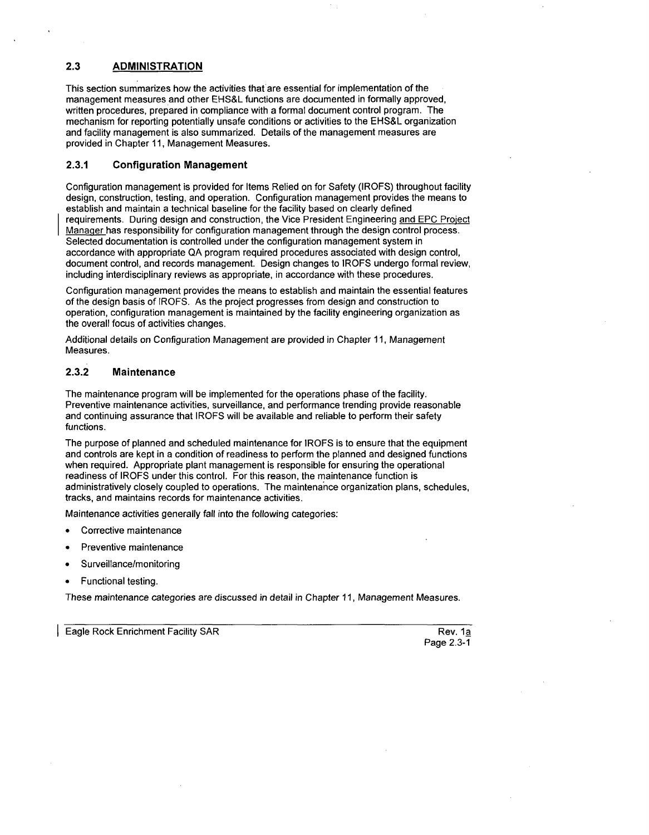## **2.3** ADMINISTRATION

This section summarizes how the activities that are essential for implementation of the management measures and other EHS&L functions are documented in formally approved, written procedures, prepared in compliance with a formal document control program. The mechanism for reporting potentially unsafe conditions or activities to the EHS&L organization and facility management is also summarized. Details of the management measures are provided in Chapter 11, Management Measures.

## **2.3.1** Configuration Management

Configuration management is provided for Items Relied on for Safety (IROFS) throughout facility design, construction, testing, and operation. Configuration management provides the means to establish and maintain a technical baseline for the facility based on clearly defined requirements. During design and construction, the Vice President Engineering and EPC Project Manager has responsibility for configuration management through the design control process. Selected documentation is controlled under the configuration management system in accordance with appropriate QA program required procedures associated with design control, document control, and records management. Design changes to IROFS undergo formal review, including interdisciplinary reviews as appropriate, in accordance with these procedures.

Configuration management provides the means to establish and maintain the essential features of the design basis of IROFS. As the project progresses from design and construction to operation, configuration management is maintained by the facility engineering organization as the overall focus of activities changes.

Additional details on Configuration Management are provided in Chapter 11, Management Measures.

## **2.3.2** Maintenance

The maintenance program will be implemented for the operations phase of the facility. Preventive maintenance activities, surveillance, and performance trending provide reasonable and continuing assurance that IROFS will be available and reliable to perform their safety functions.

The purpose of planned and scheduled maintenance for IROFS is to ensure that the equipment and controls are kept in a condition of readiness to perform the planned and designed functions when required. Appropriate plant management is responsible for ensuring the operational readiness of IROFS under this control. For this reason, the maintenance function is administratively closely coupled to operations. The maintenance organization plans, schedules, tracks, and maintains records for maintenance activities.

Maintenance activities generally fall into the following categories:

- **"** Corrective maintenance
- Preventive maintenance
- \* Surveillance/monitoring
- Functional testing.

These maintenance categories are discussed in detail in Chapter 11, Management Measures.

Eagle Rock Enrichment Facility SAR Rev. 1a and 7 November 2012 12:00 November 2014

Page 2.3-1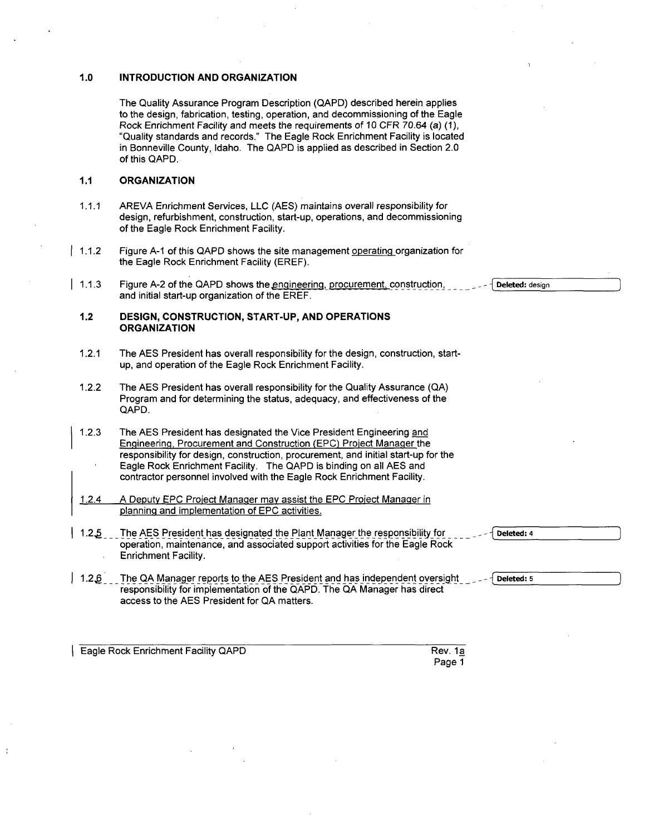#### **1.0 INTRODUCTION AND ORGANIZATION**

The Quality Assurance Program Description (QAPD) described herein applies to the design, fabrication, testing, operation, and decommissioning of the Eagle Rock Enrichment Facility and meets the requirements of 10 CFR 70.64 (a) (1), "Quality standards and records." The Eagle Rock Enrichment Facility is located in Bonneville County, Idaho. The QAPD is applied as described in Section 2.0 of this QAPD.

## **1.1 ORGANIZATION**

- 1.1.1 AREVA Enrichment Services, LLC (AES) maintains overall responsibility for design, refurbishment, construction, start-up, operations, and decommissioning of the Eagle Rock Enrichment Facility.
- 1.1.2 Figure **A-1** of this QAPD shows the site management operating organization for the Eagle Rock Enrichment Facility (EREF).
- 1.1.3 Figure A-2 of the QAPD shows the engineering, procurement, construction, and initial start-up organization of the EREF.

### 1.2 **DESIGN, CONSTRUCTION,** START-UP, **AND OPERATIONS ORGANIZATION**

- 1.2.1 The AES President has overall responsibility for the design, construction, startup, and operation of the Eagle Rock Enrichment Facility.
- 1.2.2 The AES President has overall responsibility for the Quality Assurance (QA) Program and for determining the status, adequacy, and effectiveness of the QAPD.
- 1.2.3 The AES President has designated the Vice President Engineering and Engineering, Procurement and Construction (EPC) Project Manager the responsibility for design, construction, procurement, and initial start-up for the Eagle Rock Enrichment Facility. The QAPD is binding on all AES and contractor personnel involved with the Eagle Rock Enrichment Facility.
- 1.2.4 A Deputy EPC Proiect Manager may assist the EPC Proiect Manager in planning and implementation of EPC activities.
- 1.2.5 The AES President has designated the Plant Manager the responsibility for operation, maintenance, and associated support activities for the Eagle Rock Enrichment Facility.
- **1.2,6** The QA Manager reports to the AES President and has independent oversight responsibility for implementation of the QAPD. The QA Manager has direct access to the AES President for QA matters.

**I Eagle Rock Enrichment Facility QAPD Rev. 1a** 

Page 1

Deleted: design

Deleted: 4

Deleted: 5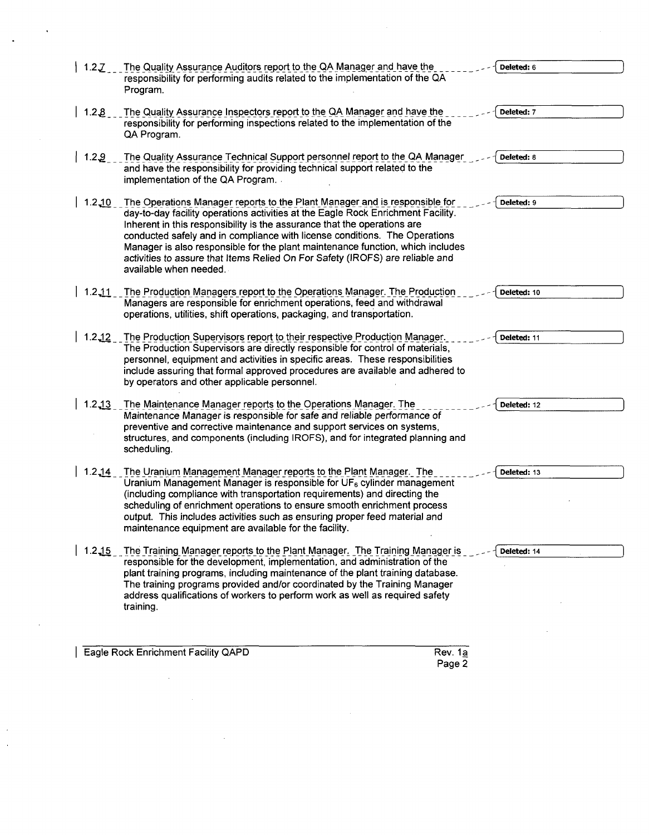| 1.2Z       | The Quality Assurance Auditors report to the QA Manager and have the<br>responsibility for performing audits related to the implementation of the QA<br>Program.                                                                                                                                                                                                                                                                                                                                                      | Deleted: 6  |
|------------|-----------------------------------------------------------------------------------------------------------------------------------------------------------------------------------------------------------------------------------------------------------------------------------------------------------------------------------------------------------------------------------------------------------------------------------------------------------------------------------------------------------------------|-------------|
| 1.22       | The Quality Assurance Inspectors report to the QA Manager and have the<br>responsibility for performing inspections related to the implementation of the<br>QA Program.                                                                                                                                                                                                                                                                                                                                               | Deleted: 7  |
| 1.29       | The Quality Assurance Technical Support personnel report to the QA Manager<br>and have the responsibility for providing technical support related to the<br>implementation of the QA Program.                                                                                                                                                                                                                                                                                                                         | Deleted: 8  |
| $1.2 - 10$ | The Operations Manager reports to the Plant Manager and is responsible for<br>day-to-day facility operations activities at the Eagle Rock Enrichment Facility.<br>Inherent in this responsibility is the assurance that the operations are<br>conducted safely and in compliance with license conditions. The Operations<br>Manager is also responsible for the plant maintenance function, which includes<br>activities to assure that Items Relied On For Safety (IROFS) are reliable and<br>available when needed. | Deleted: 9  |
| $1.2 - 11$ | The Production Managers report to the Operations Manager. The Production<br>Managers are responsible for enrichment operations, feed and withdrawal<br>operations, utilities, shift operations, packaging, and transportation.                                                                                                                                                                                                                                                                                        | Deleted: 10 |
| $1.2 - 12$ | The Production Supervisors report to their respective Production Manager.<br>The Production Supervisors are directly responsible for control of materials,<br>personnel, equipment and activities in specific areas. These responsibilities<br>include assuring that formal approved procedures are available and adhered to<br>by operators and other applicable personnel.                                                                                                                                          | Deleted: 11 |
| $1.2 - 13$ | The Maintenance Manager reports to the Operations Manager. The<br>Maintenance Manager is responsible for safe and reliable performance of<br>preventive and corrective maintenance and support services on systems,<br>structures, and components (including IROFS), and for integrated planning and<br>scheduling.                                                                                                                                                                                                   | Deleted: 12 |
| $1.2 - 14$ | The Uranium Management Manager reports to the Plant Manager. The<br>Uranium Management Manager is responsible for $UF6$ cylinder management<br>(including compliance with transportation requirements) and directing the<br>scheduling of enrichment operations to ensure smooth enrichment process<br>output. This includes activities such as ensuring proper feed material and<br>maintenance equipment are available for the facility.                                                                            | Deleted: 13 |
| $1.2 - 15$ | The Training Manager reports to the Plant Manager. The Training Manager is<br>responsible for the development, implementation, and administration of the<br>plant training programs, including maintenance of the plant training database.<br>The training programs provided and/or coordinated by the Training Manager<br>address qualifications of workers to perform work as well as required safety<br>training.                                                                                                  | Deleted: 14 |
|            | Eaela Daek Enrichmant Eaeility OADD<br>$D_{av}$ 1.                                                                                                                                                                                                                                                                                                                                                                                                                                                                    |             |

 $\mathcal{L}^{\text{max}}_{\text{max}}$ 

Rev. 1<u>a</u><br>Page 2

| Eagle Rock Enrichment Facility QAPD

 $\mathcal{L}^{\text{max}}_{\text{max}}$  , where  $\mathcal{L}^{\text{max}}_{\text{max}}$ 

 $\frac{1}{\sqrt{2\pi}}\left(\frac{1}{\sqrt{2\pi}}\right)^{1/2}$ 

 $\mathcal{L}^{\mathcal{L}}$ 

 $\mathcal{A}^{\text{max}}_{\text{max}}$ 

 $\hat{\mathcal{A}}$ 

 $\frac{1}{2}$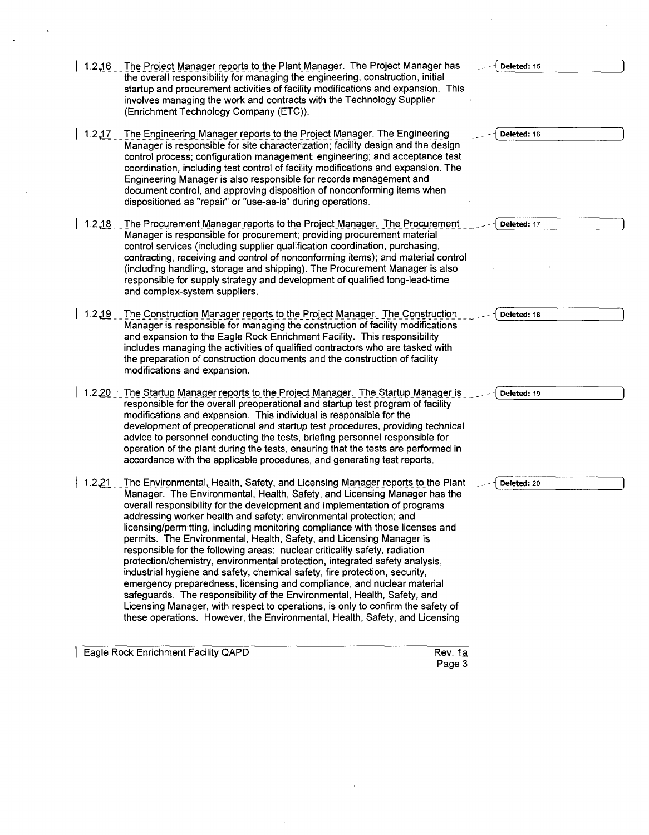| 1.216      | The Project Manager reports to the Plant Manager. The Project Manager has<br>the overall responsibility for managing the engineering, construction, initial<br>startup and procurement activities of facility modifications and expansion. This<br>involves managing the work and contracts with the Technology Supplier<br>(Enrichment Technology Company (ETC)).                                                                                                                                                                                                                                                                                                                                                                                                                                                                                                                                                                                                                                                                        | Deleted: 15 |
|------------|-------------------------------------------------------------------------------------------------------------------------------------------------------------------------------------------------------------------------------------------------------------------------------------------------------------------------------------------------------------------------------------------------------------------------------------------------------------------------------------------------------------------------------------------------------------------------------------------------------------------------------------------------------------------------------------------------------------------------------------------------------------------------------------------------------------------------------------------------------------------------------------------------------------------------------------------------------------------------------------------------------------------------------------------|-------------|
| 1.217      | The Engineering Manager reports to the Project Manager. The Engineering<br>Manager is responsible for site characterization; facility design and the design<br>control process; configuration management; engineering; and acceptance test<br>coordination, including test control of facility modifications and expansion. The<br>Engineering Manager is also responsible for records management and<br>document control, and approving disposition of nonconforming items when<br>dispositioned as "repair" or "use-as-is" during operations.                                                                                                                                                                                                                                                                                                                                                                                                                                                                                           | Deleted: 16 |
| $1.2 - 18$ | The Procurement Manager reports to the Project Manager. The Procurement<br>Manager is responsible for procurement; providing procurement material<br>control services (including supplier qualification coordination, purchasing,<br>contracting, receiving and control of nonconforming items); and material control<br>(including handling, storage and shipping). The Procurement Manager is also<br>responsible for supply strategy and development of qualified long-lead-time<br>and complex-system suppliers.                                                                                                                                                                                                                                                                                                                                                                                                                                                                                                                      | Deleted: 17 |
| $1.2 - 19$ | The Construction Manager reports to the Project Manager. The Construction<br>Manager is responsible for managing the construction of facility modifications<br>and expansion to the Eagle Rock Enrichment Facility. This responsibility<br>includes managing the activities of qualified contractors who are tasked with<br>the preparation of construction documents and the construction of facility<br>modifications and expansion.                                                                                                                                                                                                                                                                                                                                                                                                                                                                                                                                                                                                    | Deleted: 18 |
| 1.220      | The Startup Manager reports to the Project Manager. The Startup Manager is<br>responsible for the overall preoperational and startup test program of facility<br>modifications and expansion. This individual is responsible for the<br>development of preoperational and startup test procedures, providing technical<br>advice to personnel conducting the tests, briefing personnel responsible for<br>operation of the plant during the tests, ensuring that the tests are performed in<br>accordance with the applicable procedures, and generating test reports.                                                                                                                                                                                                                                                                                                                                                                                                                                                                    | Deleted: 19 |
| 1.221      | The Environmental, Health, Safety, and Licensing Manager reports to the Plant<br>Manager. The Environmental, Health, Safety, and Licensing Manager has the<br>overall responsibility for the development and implementation of programs<br>addressing worker health and safety; environmental protection; and<br>licensing/permitting, including monitoring compliance with those licenses and<br>permits. The Environmental, Health, Safety, and Licensing Manager is<br>responsible for the following areas: nuclear criticality safety, radiation<br>protection/chemistry, environmental protection, integrated safety analysis,<br>industrial hygiene and safety, chemical safety, fire protection, security,<br>emergency preparedness, licensing and compliance, and nuclear material<br>safeguards. The responsibility of the Environmental, Health, Safety, and<br>Licensing Manager, with respect to operations, is only to confirm the safety of<br>these operations. However, the Environmental, Health, Safety, and Licensing | Deleted: 20 |

 $\hat{\mathcal{A}}$ 

| Eagle Rock Enrichment Facility QAPD | <b>Rev. 1a</b> |
|-------------------------------------|----------------|
|                                     | Dese 1         |

 $\ddot{\phantom{a}}$ 

Rev.  $1\overline{a}$ <br>Page 3

 $\bar{\beta}$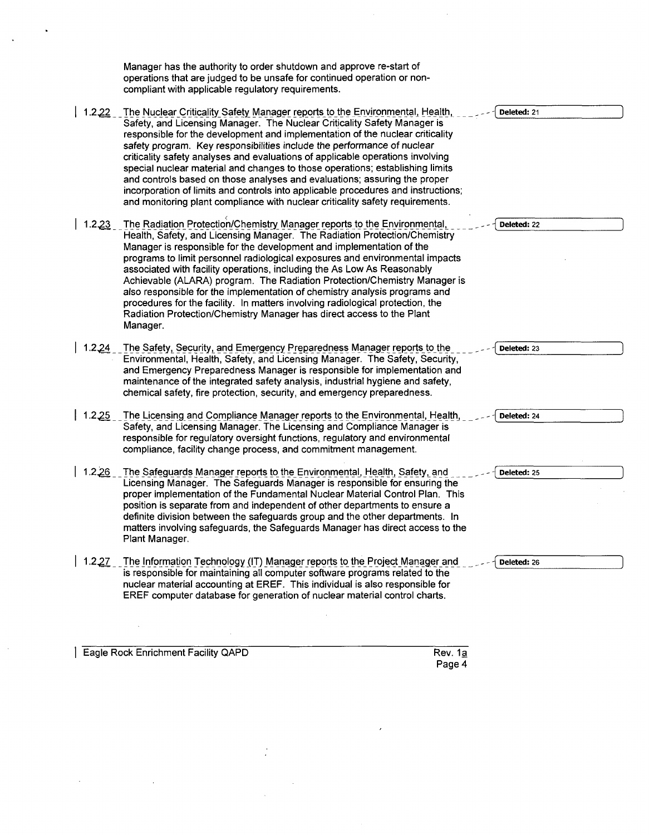Manager has the authority to order shutdown and approve re-start of operations that are judged to be unsafe for continued operation or noncompliant with applicable regulatory requirements.

- $\vert$  1.2.22 The Nuclear Criticality Safety Manager reports to the Environmental, Health, Safety, and Licensing Manager. The Nuclear Criticality Safety Manager is responsible for the development and implementation of the nuclear criticality safety program. Key responsibilities include the performance of nuclear criticality safety analyses and evaluations of applicable operations involving special nuclear material and changes to those operations; establishing limits and controls based on those analyses and evaluations; assuring the proper incorporation of limits and controls into applicable procedures and instructions; and monitoring plant compliance with nuclear criticality safety requirements. **-(** Deleted: 21
- **1.2,23** \_\_The Radiation Protection/Chemistry Manager reports to the Environmental, Health, Safety, and Licensing Manager. The Radiation Protection/Chemistry Manager is responsible for the development and implementation of the programs to limit personnel radiological exposures and environmental impacts associated with facility operations, including the As Low As Reasonably Achievable (ALARA) program. The Radiation Protection/Chemistry Manager is also responsible for the implementation of chemistry analysis programs and procedures for the facility. In matters involving radiological protection, the Radiation Protection/Chemistry Manager has direct access to the Plant Manager.
- 1.2.24 The Safety, Security, and Emergency Preparedness Manager reports to the. Environmental, Health, Safety, and Licensing Manager. The Safety, Security, and Emergency Preparedness Manager is responsible for implementation and maintenance of the integrated safety analysis, industrial hygiene and safety, chemical safety, fire protection, security, and emergency preparedness.
- 1.2.25 The Licensing and Compliance Manager reports to the Environmental, Health, Safety, and Licensing Manager. The Licensing and Compliance Manager is responsible for regulatory oversight functions, regulatory and environmental compliance, facility change process, and commitment management.
- 1.2.26 The Safeguards Manager reports to the Environmental, Health, Safety, and Licensing Manager. The Safeguards Manager is responsible for ensuring the proper implementation of the Fundamental Nuclear Material Control Plan. This position is separate from and independent of other departments to ensure a definite division between the safeguards group and the other departments. In matters involving safeguards, the Safeguards Manager has direct access to the Plant Manager.
- 1.2.27 The Information Technology (IT) Manager reports to the Project Manager and is responsible for maintaining all computer software programs related to the nuclear material accounting at EREF. This individual is also responsible for EREF computer database for generation of nuclear material control charts.

**I Eagle Rock Enrichment Facility QAPD Rev. 1a** 

Deleted: 22 Deleted: **23** Deleted: 24 4 Deleted: **25 ý** Deleted: **26**

Page 4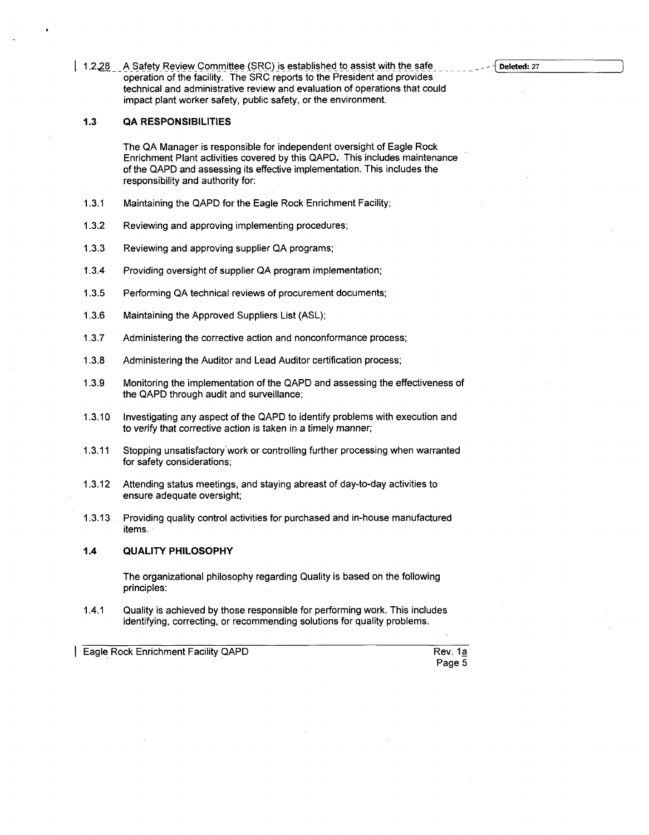1.2.28 A Safety Review Committee (SRC) is established to assist with the safe operation of the facility. The SRC reports to the President and provides technical and administrative review and evaluation of operations that could impact plant worker safety, public safety, or the environment.

### **1.3 QA RESPONSIBILITIES**

The QA Manager is responsible for independent oversight of Eagle Rock Enrichment Plant activities covered by this QAPD. This includes maintenance of the QAPD and assessing its effective implementation. This includes the responsibility and authority for:

- 1.3.1 Maintaining the QAPD for the Eagle Rock Enrichment Facility;
- 1.3.2 Reviewing and approving implementing procedures;
- 1.3.3 Reviewing and approving supplier QA programs;
- 1.3.4 Providing oversight of supplier QA program implementation;
- 1.3.5 Performing QA technical reviews of procurement documents;
- 1.3.6 Maintaining the Approved Suppliers List (ASL);
- 1.3.7 Administering the corrective action and nonconformance process;
- 1.3.8 Administering the Auditor and Lead Auditor certification process;
- 1.3.9 Monitoring the implementation of the QAPD and assessing the effectiveness of the QAPD through audit and surveillance;
- 1.3.10 Investigating any aspect of the QAPD to identify problems with execution and to verify that corrective action is taken in a timely manner;
- 1.3.11 Stopping unsatisfactory'work or controlling further processing when warranted for safety considerations;
- 1.3.12 Attending status meetings, and staying abreast of day-to-day activities to ensure adequate oversight;
- 1.3.13 Providing quality control activities for purchased and in-house manufactured items.

#### **1.4 QUALITY** PHILOSOPHY

The organizational philosophy regarding Quality is based on the following principles:

1.4.1 Quality is achieved by those responsible for performing work. This includes identifying, correcting, or recommending solutions for quality problems.

**Eagle Rock Enrichment Facility QAPD** Rev. 1a

Page 5